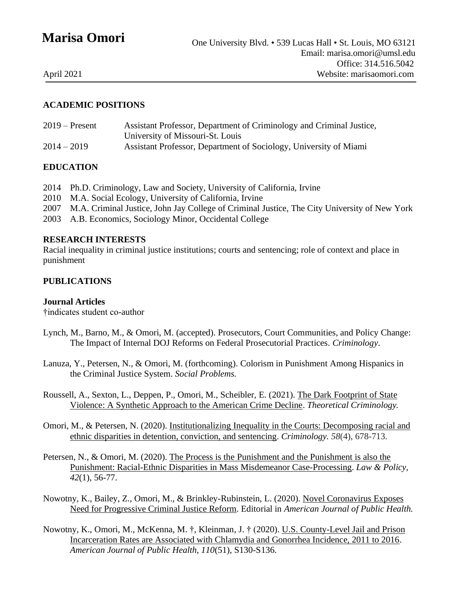# **Marisa Omori**

#### **ACADEMIC POSITIONS**

| $2019$ – Present | Assistant Professor, Department of Criminology and Criminal Justice, |
|------------------|----------------------------------------------------------------------|
|                  | University of Missouri-St. Louis                                     |
| $2014 - 2019$    | Assistant Professor, Department of Sociology, University of Miami    |

#### **EDUCATION**

- 2014 Ph.D. Criminology, Law and Society, University of California, Irvine
- 2010 M.A. Social Ecology, University of California, Irvine
- 2007 M.A. Criminal Justice, John Jay College of Criminal Justice, The City University of New York
- 2003 A.B. Economics, Sociology Minor, Occidental College

#### **RESEARCH INTERESTS**

Racial inequality in criminal justice institutions; courts and sentencing; role of context and place in punishment

#### **PUBLICATIONS**

#### **Journal Articles**

†indicates student co-author

- Lynch, M., Barno, M., & Omori, M. (accepted). Prosecutors, Court Communities, and Policy Change: The Impact of Internal DOJ Reforms on Federal Prosecutorial Practices. *Criminology*.
- Lanuza, Y., Petersen, N., & Omori, M. (forthcoming). Colorism in Punishment Among Hispanics in the Criminal Justice System. *Social Problems.*
- Roussell, A., Sexton, L., Deppen, P., Omori, M., Scheibler, E. (2021). [The Dark Footprint of State](https://journals.sagepub.com/doi/full/10.1177/1362480620984233)  [Violence: A Synthetic Approach to the American Crime Decline.](https://journals.sagepub.com/doi/full/10.1177/1362480620984233) *Theoretical Criminology.*
- Omori, M., & Petersen, N. (2020). [Institutionalizing Inequality in the Courts: Decomposing racial and](https://onlinelibrary.wiley.com/doi/abs/10.1111/1745-9125.12257)  [ethnic disparities in detention, conviction, and sentencing.](https://onlinelibrary.wiley.com/doi/abs/10.1111/1745-9125.12257) *Criminology. 58*(4), 678-713.
- Petersen, N., & Omori, M. (2020). [The Process is the Punishment and the Punishment is also the](https://onlinelibrary.wiley.com/doi/abs/10.1111/lapo.12140)  [Punishment: Racial-Ethnic Disparities in Mass Misdemeanor Case-Processing.](https://onlinelibrary.wiley.com/doi/abs/10.1111/lapo.12140) *Law & Policy, 42*(1), 56-77.
- Nowotny, K., Bailey, Z., Omori, M., & Brinkley-Rubinstein, L. (2020). [Novel Coronavirus Exposes](https://ajph.aphapublications.org/doi/10.2105/AJPH.2020.305707)  [Need for Progressive Criminal Justice Reform.](https://ajph.aphapublications.org/doi/10.2105/AJPH.2020.305707) Editorial in *American Journal of Public Health.*
- Nowotny, K., Omori, M., McKenna, M. †, Kleinman, J. † (2020). [U.S. County-Level Jail and Prison](https://ajph.aphapublications.org/doi/full/10.2105/AJPH.2019.305425)  [Incarceration Rates are Associated with Chlamydia and Gonorrhea Incidence, 2011 to 2016.](https://ajph.aphapublications.org/doi/full/10.2105/AJPH.2019.305425) *American Journal of Public Health, 110*(51), S130-S136.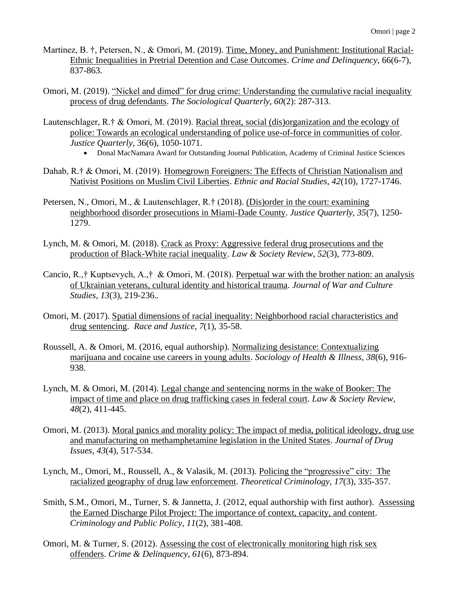- Martinez, B. †, Petersen, N., & Omori, M. (2019). [Time, Money, and Punishment: Institutional Racial-](https://journals.sagepub.com/doi/abs/10.1177/0011128719881600)[Ethnic Inequalities in Pretrial Detention and Case Outcomes.](https://journals.sagepub.com/doi/abs/10.1177/0011128719881600) *Crime and Delinquency*, 66(6-7), 837-863.
- Omori, M. (2019). ["Nickel and dimed" for drug crime: Understanding the cumulative racial inequality](https://www.tandfonline.com/doi/full/10.1080/00380253.2018.1526049)  [process of drug defendants.](https://www.tandfonline.com/doi/full/10.1080/00380253.2018.1526049) *The Sociological Quarterly, 60*(2): 287-313.
- Lautenschlager, R.† & Omori, M. (2019). [Racial threat, social \(dis\)organization and the ecology of](https://www.tandfonline.com/doi/abs/10.1080/07418825.2018.1480792?journalCode=rjqy20)  [police: Towards an ecological understanding of police use-of-force in communities of color.](https://www.tandfonline.com/doi/abs/10.1080/07418825.2018.1480792?journalCode=rjqy20) *Justice Quarterly*, 36(6), 1050-1071.
	- Donal MacNamara Award for Outstanding Journal Publication, Academy of Criminal Justice Sciences
- Dahab, R.† & Omori, M. (2019). [Homegrown Foreigners: The Effects of Christian Nationalism and](https://www.tandfonline.com/doi/full/10.1080/01419870.2018.1506142)  [Nativist Positions on Muslim Civil Liberties.](https://www.tandfonline.com/doi/full/10.1080/01419870.2018.1506142) *Ethnic and Racial Studies, 42*(10), 1727-1746.
- Petersen, N., Omori, M., & Lautenschlager, R.† (2018). [\(Dis\)order in the court: examining](https://www.tandfonline.com/doi/abs/10.1080/07418825.2018.1523448)  [neighborhood disorder prosecutions in Miami-Dade County.](https://www.tandfonline.com/doi/abs/10.1080/07418825.2018.1523448) *Justice Quarterly, 35*(7), 1250- 1279.
- Lynch, M. & Omori, M. (2018). [Crack as Proxy: Aggressive federal drug prosecutions and the](https://onlinelibrary.wiley.com/doi/abs/10.1111/lasr.12348)  [production of Black-White racial inequality.](https://onlinelibrary.wiley.com/doi/abs/10.1111/lasr.12348) *Law & Society Review, 52*(3), 773-809.
- Cancio, R.,† Kuptsevych, A.,† & Omori, M. (2018). [Perpetual war with the brother nation: an analysis](https://www.tandfonline.com/doi/full/10.1080/17526272.2018.1558536)  [of Ukrainian veterans, cultural identity and historical trauma.](https://www.tandfonline.com/doi/full/10.1080/17526272.2018.1558536) *Journal of War and Culture Studies, 13*(3), 219-236.*.*
- Omori, M. (2017). [Spatial dimensions of racial inequality: Neighborhood racial characteristics and](https://journals.sagepub.com/doi/full/10.1177/2153368716648461) [drug sentencing.](https://journals.sagepub.com/doi/full/10.1177/2153368716648461) *Race and Justice*, *7*(1), 35-58.
- Roussell, A. & Omori, M. (2016, equal authorship). [Normalizing desistance: Contextualizing](https://onlinelibrary.wiley.com/doi/full/10.1111/1467-9566.12421)  [marijuana and cocaine use careers in young adults.](https://onlinelibrary.wiley.com/doi/full/10.1111/1467-9566.12421) *Sociology of Health & Illness, 38*(6), 916- 938.
- Lynch, M. & Omori, M. (2014). [Legal change and sentencing norms in the wake of Booker: The](https://onlinelibrary.wiley.com/doi/abs/10.1111/lasr.12070)  [impact of time and place on drug trafficking cases in federal court.](https://onlinelibrary.wiley.com/doi/abs/10.1111/lasr.12070) *Law & Society Review, 48*(2), 411-445.
- Omori, M. (2013). [Moral panics and morality policy: The impact of media, political ideology, drug use](https://journals.sagepub.com/doi/10.1177/0022042613491101)  [and manufacturing on methamphetamine legislation in the United States.](https://journals.sagepub.com/doi/10.1177/0022042613491101) *Journal of Drug Issues*, *43*(4), 517-534.
- Lynch, M., Omori, M., Roussell, A., & Valasik, M. (2013)*.* [Policing the "progressive" city:](https://journals.sagepub.com/doi/abs/10.1177/1362480613476986) The [racialized geography of drug law enforcement.](https://journals.sagepub.com/doi/abs/10.1177/1362480613476986) *Theoretical Criminology, 17*(3), 335-357.
- Smith, S.M., Omori, M., Turner, S. & Jannetta, J. (2012, equal authorship with first author). [Assessing](https://onlinelibrary.wiley.com/doi/abs/10.1111/j.1745-9133.2012.00817.x)  [the Earned Discharge Pilot Project: The importance of context, capacity, and content.](https://onlinelibrary.wiley.com/doi/abs/10.1111/j.1745-9133.2012.00817.x) *Criminology and Public Policy, 11*(2), 381-408.
- Omori, M. & Turner, S. (2012). [Assessing the cost of electronically monitoring high risk sex](https://journals.sagepub.com/doi/abs/10.1177/0011128712466373)  [offenders.](https://journals.sagepub.com/doi/abs/10.1177/0011128712466373) *Crime & Delinquency, 61*(6), 873-894.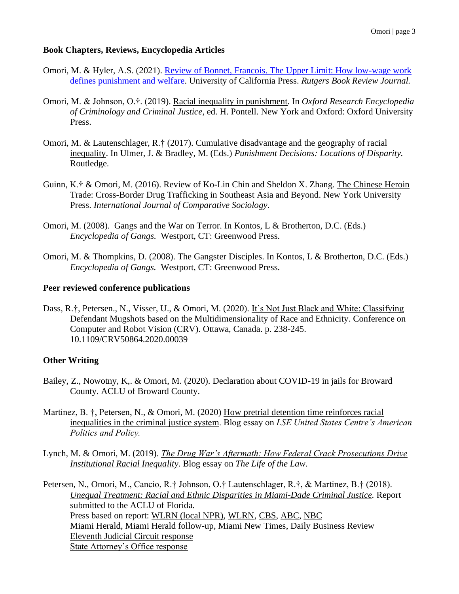#### **Book Chapters, Reviews, Encyclopedia Articles**

- Omori, M. & Hyler, A.S. (2021). [Review of Bonnet, Francois. The Upper Limit: How low-wage work](https://clcjbooks.rutgers.edu/books/the-upper-limit-how-low-wage-work-defines-punishment-and-welfare/)  [defines punishment and welfare.](https://clcjbooks.rutgers.edu/books/the-upper-limit-how-low-wage-work-defines-punishment-and-welfare/) University of California Press. *Rutgers Book Review Journal.*
- Omori, M. & Johnson, O.†. (2019). [Racial inequality in punishment.](https://oxfordre.com/criminology/view/10.1093/acrefore/9780190264079.001.0001/acrefore-9780190264079-e-241) In *Oxford Research Encyclopedia of Criminology and Criminal Justice*, ed. H. Pontell. New York and Oxford: Oxford University Press.
- Omori, M. & Lautenschlager, R.† (2017). [Cumulative disadvantage and the geography of racial](https://www.routledgehandbooks.com/doi/10.4324/9781315410371.ch4)  [inequality.](https://www.routledgehandbooks.com/doi/10.4324/9781315410371.ch4) In Ulmer, J. & Bradley, M. (Eds.) *Punishment Decisions: Locations of Disparity.* Routledge.
- Guinn, K.† & Omori, M. (2016). Review of Ko-Lin Chin and Sheldon X. Zhang. [The Chinese Heroin](https://journals.sagepub.com/doi/abs/10.1177/0020715216667840)  [Trade: Cross-Border Drug Trafficking in Southeast Asia and Beyond.](https://journals.sagepub.com/doi/abs/10.1177/0020715216667840) New York University Press. *International Journal of Comparative Sociology*.
- Omori, M. (2008). Gangs and the War on Terror. In Kontos, L & Brotherton, D.C. (Eds.) *Encyclopedia of Gangs.* Westport, CT: Greenwood Press.
- Omori, M. & Thompkins, D. (2008). The Gangster Disciples. In Kontos, L & Brotherton, D.C. (Eds.) *Encyclopedia of Gangs.* Westport, CT: Greenwood Press.

#### **Peer reviewed conference publications**

Dass, R.†, Petersen., N., Visser, U., & Omori, M. (2020). [It's Not Just Black and White: Classifying](https://www.computerrobotvision.org/proceedings/pdfs/CRV2020-1ugoWdlO2rSdvYvbAocrmh/989100a238/989100a238.pdf)  [Defendant Mugshots based on the Multidimensionality of Race and Ethnicity.](https://www.computerrobotvision.org/proceedings/pdfs/CRV2020-1ugoWdlO2rSdvYvbAocrmh/989100a238/989100a238.pdf) Conference on Computer and Robot Vision (CRV). Ottawa, Canada. p. 238-245. 10.1109/CRV50864.2020.00039

#### **Other Writing**

- Bailey, Z., Nowotny, K,. & Omori, M. (2020). Declaration about COVID-19 in jails for Broward County. ACLU of Broward County.
- Martinez, B. †, Petersen, N., & Omori, M. (2020) How pretrial detention time reinforces racial [inequalities in the criminal justice](https://blogs.lse.ac.uk/usappblog/2020/01/16/how-pretrial-detention-time-reinforces-racial-inequalities-in-the-criminal-justice-system/) system. Blog essay on *LSE United States Centre's American Politics and Policy.*
- Lynch, M. & Omori, M. (2019). *[The Drug War's Aftermath: How Federal Crack Prosecutions Drive](https://lawandsocietyreview.blogspot.com/2019/01/the-drug-wars-aftermath-how-federal.html)  [Institutional Racial Inequality](https://lawandsocietyreview.blogspot.com/2019/01/the-drug-wars-aftermath-how-federal.html)*. Blog essay on *The Life of the Law*.

Petersen, N., Omori, M., Cancio, R.† Johnson, O.† Lautenschlager, R.†, & Martinez, B.† (2018). *[Unequal Treatment: Racial and Ethnic Disparities in Miami-Dade Criminal Justice.](https://www.aclufl.org/en/publications/unequal-treatment-racial-and-ethnic-disparities-miami-dade-criminal-justice)* Report submitted to the ACLU of Florida. Press based on report: [WLRN \(local NPR\),](https://www.wlrn.org/post/new-study-finds-black-hispanics-miami-dade-face-harsher-consequences-criminal-justice-system#stream/0) [WLRN,](https://www.wlrn.org/post/sunpass-problems-marjory-stoneman-douglas-dad-disparities-miami-dade-arrests#stream/0) [CBS,](https://miami.cbslocal.com/video/3902719-executive-director-of-aclu-of-florida-discussed-newly-released-report/) [ABC,](https://www.local10.com/video/aclu-report-finds-miami-dade-criminal-justice-system-is-harsher-on-people-of-color/) [NBC](https://www.nbcmiami.com/news/local/black-defendants-face-harsher-punishments-as-race-ethnicity-impact-miami-dade-justice-decisions-aclu/48549/) [Miami Herald,](https://www.miamiherald.com/latest-news/article215167840.html) [Miami Herald follow-up,](https://www.miamiherald.com/opinion/letters-to-the-editor/article215480970.html) [Miami New Times,](https://www.miaminewtimes.com/news/miami-justice-system-discriminates-against-blacks-aclu-data-shows-10540037) [Daily Business Review](https://www.law.com/dailybusinessreview/2018/07/19/south-florida-attorneys-divided-on-aclu-report-depicting-racially-biased-justice-system-in-miami-dade/?slreturn=20200419103906) [Eleventh Judicial Circuit response](https://www.jud11.flcourts.org/General-Information/Press-Releases/ArtMID/602/ArticleID/3120/Eleventh-Judicial-Circuit-Response-to-ACLU-of-FloridaGreater-Miami-Report-on-Miami-Dade-Criminal-Justice-System) [State Attorney's Office response](http://www.miamisao.com/wp-content/uploads/2018/07/ACLU-REPORT-RESPONSE-PRESS-RELEASE.pdf)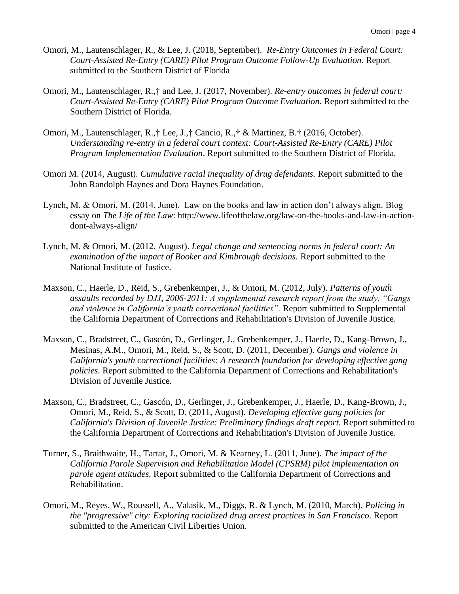- Omori, M., Lautenschlager, R., & Lee, J. (2018, September). *Re-Entry Outcomes in Federal Court: Court-Assisted Re-Entry (CARE) Pilot Program Outcome Follow-Up Evaluation.* Report submitted to the Southern District of Florida
- Omori, M., Lautenschlager, R.,† and Lee, J. (2017, November). *Re-entry outcomes in federal court: Court-Assisted Re-Entry (CARE) Pilot Program Outcome Evaluation.* Report submitted to the Southern District of Florida.
- Omori, M., Lautenschlager, R.,† Lee, J.,† Cancio, R.,† & Martinez, B.† (2016, October). *Understanding re-entry in a federal court context: Court-Assisted Re-Entry (CARE) Pilot Program Implementation Evaluation*. Report submitted to the Southern District of Florida.
- Omori M. (2014, August). *Cumulative racial inequality of drug defendants.* Report submitted to the John Randolph Haynes and Dora Haynes Foundation.
- Lynch, M. & Omori, M. (2014, June). Law on the books and law in action don't always align. Blog essay on *The Life of the Law*: http://www.lifeofthelaw.org/law-on-the-books-and-law-in-actiondont-always-align/
- Lynch, M. & Omori, M. (2012, August). *Legal change and sentencing norms in federal court: An examination of the impact of Booker and Kimbrough decisions.* Report submitted to the National Institute of Justice.
- Maxson, C., Haerle, D., Reid, S., Grebenkemper, J., & Omori, M. (2012, July). *Patterns of youth assaults recorded by DJJ, 2006-2011: A supplemental research report from the study, "Gangs and violence in California's youth correctional facilities".* Report submitted to Supplemental the California Department of Corrections and Rehabilitation's Division of Juvenile Justice.
- Maxson, C., Bradstreet, C., Gascón, D., Gerlinger, J., Grebenkemper, J., Haerle, D., Kang-Brown, J., Mesinas, A.M., Omori, M., Reid, S., & Scott, D. (2011, December). *Gangs and violence in California's youth correctional facilities: A research foundation for developing effective gang policies.* Report submitted to the California Department of Corrections and Rehabilitation's Division of Juvenile Justice.
- Maxson, C., Bradstreet, C., Gascón, D., Gerlinger, J., Grebenkemper, J., Haerle, D., Kang-Brown, J., Omori, M., Reid, S., & Scott, D. (2011, August). *Developing effective gang policies for California's Division of Juvenile Justice: Preliminary findings draft report.* Report submitted to the California Department of Corrections and Rehabilitation's Division of Juvenile Justice.
- Turner, S., Braithwaite, H., Tartar, J., Omori, M. & Kearney, L. (2011, June). *The impact of the California Parole Supervision and Rehabilitation Model (CPSRM) pilot implementation on parole agent attitudes.* Report submitted to the California Department of Corrections and Rehabilitation.
- Omori, M., Reyes, W., Roussell, A., Valasik, M., Diggs, R. & Lynch, M. (2010, March). *Policing in the "progressive" city: Exploring racialized drug arrest practices in San Francisco*. Report submitted to the American Civil Liberties Union.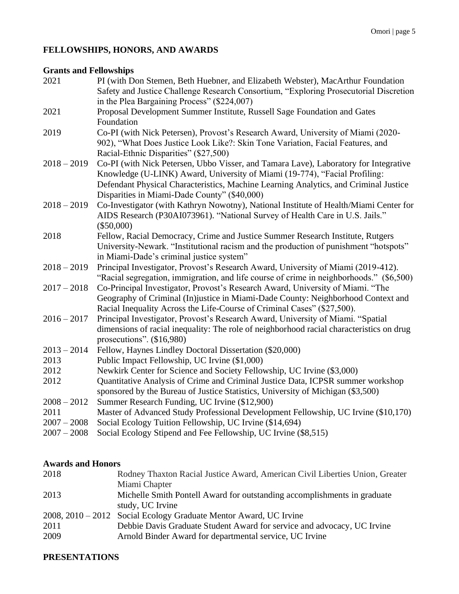## **FELLOWSHIPS, HONORS, AND AWARDS**

#### **Grants and Fellowships**

| 2021          | PI (with Don Stemen, Beth Huebner, and Elizabeth Webster), MacArthur Foundation              |
|---------------|----------------------------------------------------------------------------------------------|
|               | Safety and Justice Challenge Research Consortium, "Exploring Prosecutorial Discretion        |
|               | in the Plea Bargaining Process" (\$224,007)                                                  |
| 2021          | Proposal Development Summer Institute, Russell Sage Foundation and Gates                     |
|               | Foundation                                                                                   |
| 2019          | Co-PI (with Nick Petersen), Provost's Research Award, University of Miami (2020-             |
|               | 902), "What Does Justice Look Like?: Skin Tone Variation, Facial Features, and               |
|               | Racial-Ethnic Disparities" (\$27,500)                                                        |
| $2018 - 2019$ | Co-PI (with Nick Petersen, Ubbo Visser, and Tamara Lave), Laboratory for Integrative         |
|               | Knowledge (U-LINK) Award, University of Miami (19-774), "Facial Profiling:                   |
|               | Defendant Physical Characteristics, Machine Learning Analytics, and Criminal Justice         |
|               | Disparities in Miami-Dade County" (\$40,000)                                                 |
| $2018 - 2019$ | Co-Investigator (with Kathryn Nowotny), National Institute of Health/Miami Center for        |
|               | AIDS Research (P30AI073961). "National Survey of Health Care in U.S. Jails."<br>$(\$50,000)$ |
| 2018          | Fellow, Racial Democracy, Crime and Justice Summer Research Institute, Rutgers               |
|               | University-Newark. "Institutional racism and the production of punishment "hotspots"         |
|               | in Miami-Dade's criminal justice system"                                                     |
| $2018 - 2019$ | Principal Investigator, Provost's Research Award, University of Miami (2019-412).            |
|               | "Racial segregation, immigration, and life course of crime in neighborhoods." (\$6,500)      |
| $2017 - 2018$ | Co-Principal Investigator, Provost's Research Award, University of Miami. "The               |
|               | Geography of Criminal (In)justice in Miami-Dade County: Neighborhood Context and             |
|               | Racial Inequality Across the Life-Course of Criminal Cases" (\$27,500).                      |
| $2016 - 2017$ | Principal Investigator, Provost's Research Award, University of Miami. "Spatial              |
|               | dimensions of racial inequality: The role of neighborhood racial characteristics on drug     |
|               | prosecutions". $(\$16,980)$                                                                  |
| $2013 - 2014$ | Fellow, Haynes Lindley Doctoral Dissertation (\$20,000)                                      |
| 2013          | Public Impact Fellowship, UC Irvine (\$1,000)                                                |
| 2012          | Newkirk Center for Science and Society Fellowship, UC Irvine (\$3,000)                       |
| 2012          | Quantitative Analysis of Crime and Criminal Justice Data, ICPSR summer workshop              |
|               | sponsored by the Bureau of Justice Statistics, University of Michigan (\$3,500)              |
| $2008 - 2012$ | Summer Research Funding, UC Irvine (\$12,900)                                                |
| 2011          | Master of Advanced Study Professional Development Fellowship, UC Irvine (\$10,170)           |
| $2007 - 2008$ | Social Ecology Tuition Fellowship, UC Irvine (\$14,694)                                      |
| $2007 - 2008$ | Social Ecology Stipend and Fee Fellowship, UC Irvine (\$8,515)                               |

## **Awards and Honors**

| Rodney Thaxton Racial Justice Award, American Civil Liberties Union, Greater |
|------------------------------------------------------------------------------|
| Miami Chapter                                                                |
| Michelle Smith Pontell Award for outstanding accomplishments in graduate     |
| study, UC Irvine                                                             |
| 2008, 2010 – 2012 Social Ecology Graduate Mentor Award, UC Irvine            |
| Debbie Davis Graduate Student Award for service and advocacy, UC Irvine      |
| Arnold Binder Award for departmental service, UC Irvine                      |
|                                                                              |

#### **PRESENTATIONS**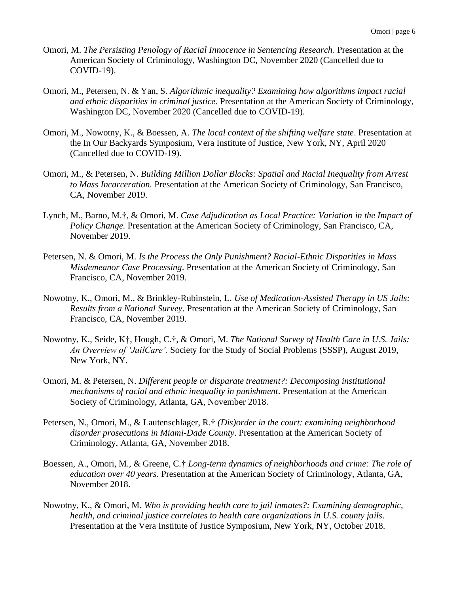- Omori, M. *The Persisting Penology of Racial Innocence in Sentencing Research*. Presentation at the American Society of Criminology, Washington DC, November 2020 (Cancelled due to COVID-19).
- Omori, M., Petersen, N. & Yan, S. *Algorithmic inequality? Examining how algorithms impact racial and ethnic disparities in criminal justice*. Presentation at the American Society of Criminology, Washington DC, November 2020 (Cancelled due to COVID-19).
- Omori, M., Nowotny, K., & Boessen, A. *The local context of the shifting welfare state*. Presentation at the In Our Backyards Symposium, Vera Institute of Justice, New York, NY, April 2020 (Cancelled due to COVID-19).
- Omori, M., & Petersen, N. *Building Million Dollar Blocks: Spatial and Racial Inequality from Arrest to Mass Incarceration.* Presentation at the American Society of Criminology, San Francisco, CA, November 2019.
- Lynch, M., Barno, M.†, & Omori, M. *Case Adjudication as Local Practice: Variation in the Impact of Policy Change.* Presentation at the American Society of Criminology, San Francisco, CA, November 2019.
- Petersen, N. & Omori, M. *Is the Process the Only Punishment? Racial-Ethnic Disparities in Mass Misdemeanor Case Processing*. Presentation at the American Society of Criminology, San Francisco, CA, November 2019.
- Nowotny, K., Omori, M., & Brinkley-Rubinstein, L. *Use of Medication-Assisted Therapy in US Jails: Results from a National Survey*. Presentation at the American Society of Criminology, San Francisco, CA, November 2019.
- Nowotny, K., Seide, K†, Hough, C.†, & Omori, M. *The National Survey of Health Care in U.S. Jails: An Overview of 'JailCare'.* Society for the Study of Social Problems (SSSP), August 2019, New York, NY.
- Omori, M. & Petersen, N. *Different people or disparate treatment?: Decomposing institutional mechanisms of racial and ethnic inequality in punishment*. Presentation at the American Society of Criminology, Atlanta, GA, November 2018.
- Petersen, N., Omori, M., & Lautenschlager, R.† *(Dis)order in the court: examining neighborhood disorder prosecutions in Miami-Dade County*. Presentation at the American Society of Criminology, Atlanta, GA, November 2018.
- Boessen, A., Omori, M., & Greene, C*.*† *Long-term dynamics of neighborhoods and crime: The role of education over 40 years*. Presentation at the American Society of Criminology, Atlanta, GA, November 2018.
- Nowotny, K., & Omori, M. *Who is providing health care to jail inmates?: Examining demographic, health, and criminal justice correlates to health care organizations in U.S. county jails*. Presentation at the Vera Institute of Justice Symposium, New York, NY, October 2018.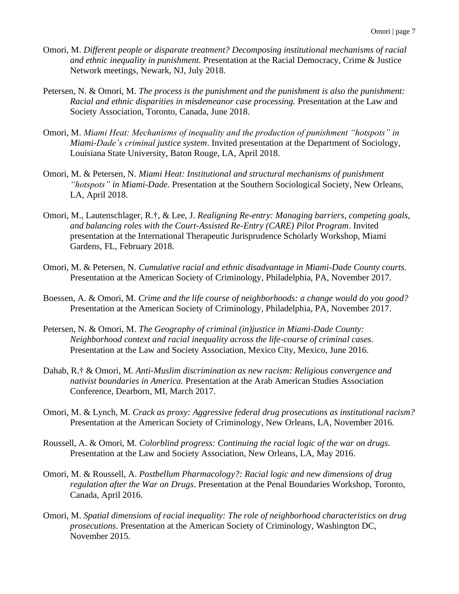- Omori, M. *Different people or disparate treatment? Decomposing institutional mechanisms of racial and ethnic inequality in punishment.* Presentation at the Racial Democracy, Crime & Justice Network meetings, Newark, NJ, July 2018.
- Petersen, N. & Omori, M. *The process is the punishment and the punishment is also the punishment: Racial and ethnic disparities in misdemeanor case processing.* Presentation at the Law and Society Association, Toronto, Canada, June 2018.
- Omori, M. *Miami Heat: Mechanisms of inequality and the production of punishment "hotspots" in Miami-Dade's criminal justice system*. Invited presentation at the Department of Sociology, Louisiana State University, Baton Rouge, LA, April 2018.
- Omori, M. & Petersen, N. *Miami Heat: Institutional and structural mechanisms of punishment "hotspots" in Miami-Dade.* Presentation at the Southern Sociological Society, New Orleans, LA, April 2018.
- Omori, M., Lautenschlager, R.†, & Lee, J. *Realigning Re-entry: Managing barriers, competing goals, and balancing roles with the Court-Assisted Re-Entry (CARE) Pilot Program*. Invited presentation at the International Therapeutic Jurisprudence Scholarly Workshop, Miami Gardens, FL, February 2018.
- Omori, M. & Petersen, N. *Cumulative racial and ethnic disadvantage in Miami-Dade County courts.*  Presentation at the American Society of Criminology, Philadelphia, PA, November 2017.
- Boessen, A. & Omori, M. *Crime and the life course of neighborhoods: a change would do you good?* Presentation at the American Society of Criminology, Philadelphia, PA, November 2017.
- Petersen, N. & Omori, M. *The Geography of criminal (in)justice in Miami-Dade County: Neighborhood context and racial inequality across the life-course of criminal cases*. Presentation at the Law and Society Association, Mexico City, Mexico, June 2016.
- Dahab, R.† & Omori, M. *Anti-Muslim discrimination as new racism: Religious convergence and nativist boundaries in America.* Presentation at the Arab American Studies Association Conference, Dearborn, MI, March 2017.
- Omori, M. & Lynch, M. *Crack as proxy: Aggressive federal drug prosecutions as institutional racism?*  Presentation at the American Society of Criminology, New Orleans, LA, November 2016.
- Roussell, A. & Omori, M. *Colorblind progress: Continuing the racial logic of the war on drugs.* Presentation at the Law and Society Association, New Orleans, LA, May 2016.
- Omori, M. & Roussell, A. *Postbellum Pharmacology?: Racial logic and new dimensions of drug regulation after the War on Drugs*. Presentation at the Penal Boundaries Workshop, Toronto, Canada, April 2016.
- Omori, M. *Spatial dimensions of racial inequality: The role of neighborhood characteristics on drug prosecutions*. Presentation at the American Society of Criminology, Washington DC, November 2015.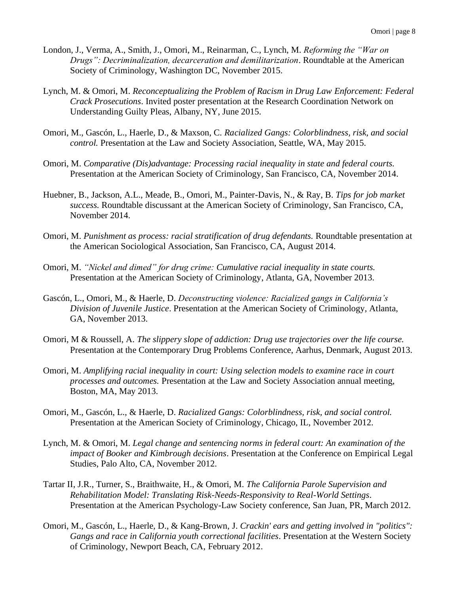- London, J., Verma, A., Smith, J., Omori, M., Reinarman, C., Lynch, M. *Reforming the "War on Drugs": Decriminalization, decarceration and demilitarization*. Roundtable at the American Society of Criminology, Washington DC, November 2015.
- Lynch, M. & Omori, M. *Reconceptualizing the Problem of Racism in Drug Law Enforcement: Federal Crack Prosecutions*. Invited poster presentation at the Research Coordination Network on Understanding Guilty Pleas, Albany, NY, June 2015.
- Omori, M., Gascón, L., Haerle, D., & Maxson, C. *Racialized Gangs: Colorblindness, risk, and social control.* Presentation at the Law and Society Association, Seattle, WA, May 2015.
- Omori, M. *Comparative (Dis)advantage: Processing racial inequality in state and federal courts.* Presentation at the American Society of Criminology, San Francisco, CA, November 2014.
- Huebner, B., Jackson, A.L., Meade, B., Omori, M., Painter-Davis, N., & Ray, B. *Tips for job market success.* Roundtable discussant at the American Society of Criminology, San Francisco, CA, November 2014.
- Omori, M. *Punishment as process: racial stratification of drug defendants.* Roundtable presentation at the American Sociological Association, San Francisco, CA, August 2014.
- Omori, M. *"Nickel and dimed" for drug crime: Cumulative racial inequality in state courts.* Presentation at the American Society of Criminology, Atlanta, GA, November 2013.
- Gascón, L., Omori, M., & Haerle, D. *Deconstructing violence: Racialized gangs in California's Division of Juvenile Justice*. Presentation at the American Society of Criminology, Atlanta, GA, November 2013.
- Omori, M & Roussell, A. *The slippery slope of addiction: Drug use trajectories over the life course.*  Presentation at the Contemporary Drug Problems Conference, Aarhus, Denmark, August 2013.
- Omori, M. *Amplifying racial inequality in court: Using selection models to examine race in court processes and outcomes.* Presentation at the Law and Society Association annual meeting, Boston, MA, May 2013.
- Omori, M., Gascón, L., & Haerle, D. *Racialized Gangs: Colorblindness, risk, and social control.*  Presentation at the American Society of Criminology, Chicago, IL, November 2012.
- Lynch, M. & Omori, M. *Legal change and sentencing norms in federal court: An examination of the impact of Booker and Kimbrough decisions*. Presentation at the Conference on Empirical Legal Studies, Palo Alto, CA, November 2012.
- Tartar II, J.R., Turner, S., Braithwaite, H., & Omori, M. *The California Parole Supervision and Rehabilitation Model: Translating Risk-Needs-Responsivity to Real-World Settings*. Presentation at the American Psychology-Law Society conference, San Juan, PR, March 2012.
- Omori, M., Gascón, L., Haerle, D., & Kang-Brown, J. *Crackin' ears and getting involved in "politics": Gangs and race in California youth correctional facilities*. Presentation at the Western Society of Criminology, Newport Beach, CA, February 2012.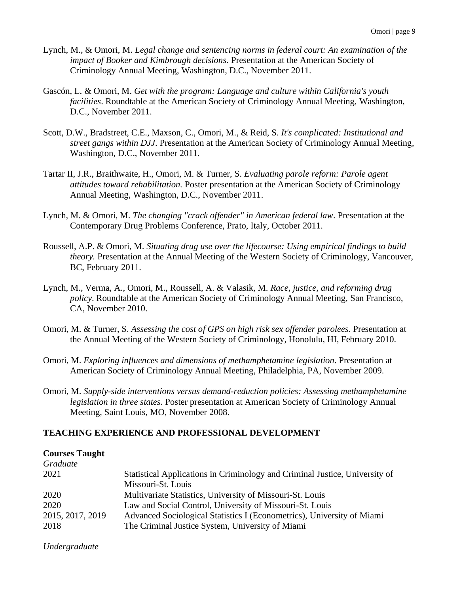- Lynch, M., & Omori, M. *Legal change and sentencing norms in federal court: An examination of the impact of Booker and Kimbrough decisions*. Presentation at the American Society of Criminology Annual Meeting, Washington, D.C., November 2011.
- Gascón, L. & Omori, M. *Get with the program: Language and culture within California's youth facilities*. Roundtable at the American Society of Criminology Annual Meeting, Washington, D.C., November 2011.
- Scott, D.W., Bradstreet, C.E., Maxson, C., Omori, M., & Reid, S. *It's complicated: Institutional and street gangs within DJJ*. Presentation at the American Society of Criminology Annual Meeting, Washington, D.C., November 2011.
- Tartar II, J.R., Braithwaite, H., Omori, M. & Turner, S. *Evaluating parole reform: Parole agent attitudes toward rehabilitation.* Poster presentation at the American Society of Criminology Annual Meeting, Washington, D.C., November 2011.
- Lynch, M. & Omori, M. *The changing "crack offender" in American federal law*. Presentation at the Contemporary Drug Problems Conference, Prato, Italy, October 2011.
- Roussell, A.P. & Omori, M. *Situating drug use over the lifecourse: Using empirical findings to build theory.* Presentation at the Annual Meeting of the Western Society of Criminology, Vancouver, BC, February 2011.
- Lynch, M., Verma, A., Omori, M., Roussell, A. & Valasik, M. *Race, justice, and reforming drug policy*. Roundtable at the American Society of Criminology Annual Meeting, San Francisco, CA, November 2010.
- Omori, M. & Turner, S. *Assessing the cost of GPS on high risk sex offender parolees.* Presentation at the Annual Meeting of the Western Society of Criminology, Honolulu, HI, February 2010.
- Omori, M. *Exploring influences and dimensions of methamphetamine legislation*. Presentation at American Society of Criminology Annual Meeting, Philadelphia, PA, November 2009.
- Omori, M. *Supply-side interventions versus demand-reduction policies: Assessing methamphetamine legislation in three states*. Poster presentation at American Society of Criminology Annual Meeting, Saint Louis, MO, November 2008.

#### **TEACHING EXPERIENCE AND PROFESSIONAL DEVELOPMENT**

#### **Courses Taught**

| Statistical Applications in Criminology and Criminal Justice, University of |
|-----------------------------------------------------------------------------|
| Missouri-St. Louis                                                          |
| Multivariate Statistics, University of Missouri-St. Louis                   |
| Law and Social Control, University of Missouri-St. Louis                    |
| Advanced Sociological Statistics I (Econometrics), University of Miami      |
| The Criminal Justice System, University of Miami                            |
|                                                                             |

*Undergraduate*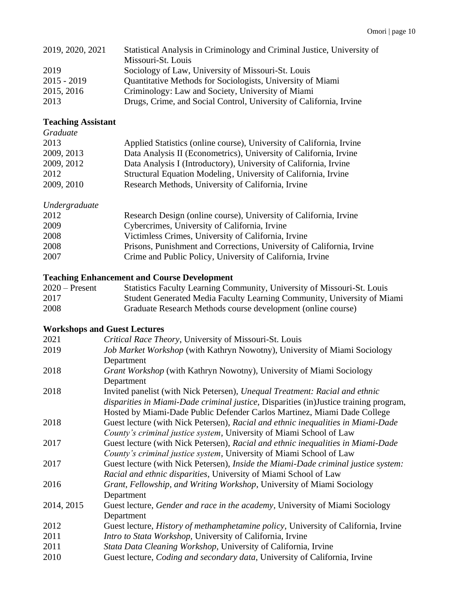| 2019, 2020, 2021 | Statistical Analysis in Criminology and Criminal Justice, University of |  |  |
|------------------|-------------------------------------------------------------------------|--|--|
|                  | Missouri-St. Louis                                                      |  |  |
| 2019             | Sociology of Law, University of Missouri-St. Louis                      |  |  |
| $2015 - 2019$    | Quantitative Methods for Sociologists, University of Miami              |  |  |
| 2015, 2016       | Criminology: Law and Society, University of Miami                       |  |  |
| 2013             | Drugs, Crime, and Social Control, University of California, Irvine      |  |  |

## **Teaching Assistant**

| Graduate   |                                                                      |
|------------|----------------------------------------------------------------------|
| 2013       | Applied Statistics (online course), University of California, Irvine |
| 2009, 2013 | Data Analysis II (Econometrics), University of California, Irvine    |
| 2009, 2012 | Data Analysis I (Introductory), University of California, Irvine     |
| 2012       | Structural Equation Modeling, University of California, Irvine       |
| 2009, 2010 | Research Methods, University of California, Irvine                   |

## *Undergraduate*

| Research Design (online course), University of California, Irvine     |
|-----------------------------------------------------------------------|
| Cybercrimes, University of California, Irvine                         |
| Victimless Crimes, University of California, Irvine                   |
| Prisons, Punishment and Corrections, University of California, Irvine |
| Crime and Public Policy, University of California, Irvine             |
|                                                                       |

## **Teaching Enhancement and Course Development**

| $2020$ – Present | Statistics Faculty Learning Community, University of Missouri-St. Louis |
|------------------|-------------------------------------------------------------------------|
| 2017             | Student Generated Media Faculty Learning Community, University of Miami |
| 2008             | Graduate Research Methods course development (online course)            |

## **Workshops and Guest Lectures**

| Critical Race Theory, University of Missouri-St. Louis                                     |
|--------------------------------------------------------------------------------------------|
| Job Market Workshop (with Kathryn Nowotny), University of Miami Sociology                  |
| Department                                                                                 |
| Grant Workshop (with Kathryn Nowotny), University of Miami Sociology                       |
| Department                                                                                 |
| Invited panelist (with Nick Petersen), Unequal Treatment: Racial and ethnic                |
| disparities in Miami-Dade criminal justice, Disparities (in)Justice training program,      |
| Hosted by Miami-Dade Public Defender Carlos Martinez, Miami Dade College                   |
| Guest lecture (with Nick Petersen), Racial and ethnic inequalities in Miami-Dade           |
| County's criminal justice system, University of Miami School of Law                        |
| Guest lecture (with Nick Petersen), Racial and ethnic inequalities in Miami-Dade           |
| County's criminal justice system, University of Miami School of Law                        |
| Guest lecture (with Nick Petersen), Inside the Miami-Dade criminal justice system:         |
| Racial and ethnic disparities, University of Miami School of Law                           |
| Grant, Fellowship, and Writing Workshop, University of Miami Sociology                     |
| Department                                                                                 |
| Guest lecture, <i>Gender and race in the academy</i> , University of Miami Sociology       |
| Department                                                                                 |
| Guest lecture, <i>History of methamphetamine policy</i> , University of California, Irvine |
| Intro to Stata Workshop, University of California, Irvine                                  |
| Stata Data Cleaning Workshop, University of California, Irvine                             |
| Guest lecture, <i>Coding and secondary data</i> , University of California, Irvine         |
|                                                                                            |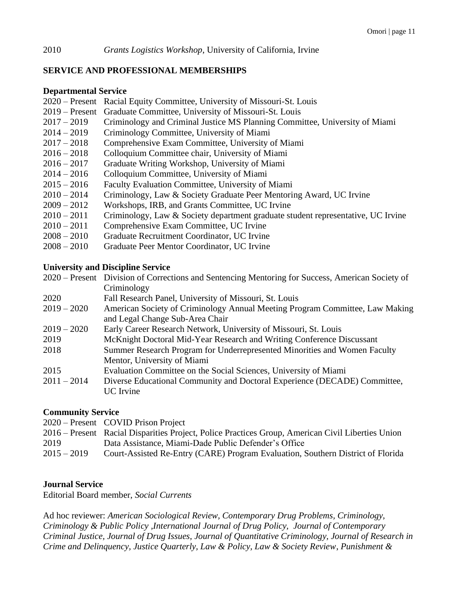#### **SERVICE AND PROFESSIONAL MEMBERSHIPS**

#### **Departmental Service**

- 2020 Present Racial Equity Committee, University of Missouri-St. Louis
- 2019 Present Graduate Committee, University of Missouri-St. Louis
- 2017 2019 Criminology and Criminal Justice MS Planning Committee, University of Miami
- 2014 2019 Criminology Committee, University of Miami
- 2017 2018 Comprehensive Exam Committee, University of Miami
- 2016 2018 Colloquium Committee chair, University of Miami
- 2016 2017 Graduate Writing Workshop, University of Miami
- 2014 2016 Colloquium Committee, University of Miami
- 2015 2016 Faculty Evaluation Committee, University of Miami
- $2010 2014$  Criminology, Law & Society Graduate Peer Mentoring Award, UC Irvine
- 2009 2012 Workshops, IRB, and Grants Committee, UC Irvine
- 2010 2011 Criminology, Law & Society department graduate student representative, UC Irvine
- 2010 2011 Comprehensive Exam Committee, UC Irvine
- 2008 2010 Graduate Recruitment Coordinator, UC Irvine
- 2008 2010 Graduate Peer Mentor Coordinator, UC Irvine

#### **University and Discipline Service**

|               | 2020 – Present Division of Corrections and Sentencing Mentoring for Success, American Society of |
|---------------|--------------------------------------------------------------------------------------------------|
|               | Criminology                                                                                      |
| 2020          | Fall Research Panel, University of Missouri, St. Louis                                           |
| $2019 - 2020$ | American Society of Criminology Annual Meeting Program Committee, Law Making                     |
|               | and Legal Change Sub-Area Chair                                                                  |
| $2019 - 2020$ | Early Career Research Network, University of Missouri, St. Louis                                 |
| 2019          | McKnight Doctoral Mid-Year Research and Writing Conference Discussant                            |
| 2018          | Summer Research Program for Underrepresented Minorities and Women Faculty                        |
|               | Mentor, University of Miami                                                                      |
| 2015          | Evaluation Committee on the Social Sciences, University of Miami                                 |
| $2011 - 2014$ | Diverse Educational Community and Doctoral Experience (DECADE) Committee,                        |
|               | <b>UC</b> Irvine                                                                                 |

#### **Community Service**

| 2020 – Present COVID Prison Project                                                               |
|---------------------------------------------------------------------------------------------------|
| 2016 – Present Racial Disparities Project, Police Practices Group, American Civil Liberties Union |
| Data Assistance, Miami-Dade Public Defender's Office                                              |
| Court-Assisted Re-Entry (CARE) Program Evaluation, Southern District of Florida                   |
|                                                                                                   |

#### **Journal Service**

Editorial Board member, *Social Currents*

Ad hoc reviewer: *American Sociological Review, Contemporary Drug Problems, Criminology, Criminology & Public Policy ,International Journal of Drug Policy, Journal of Contemporary Criminal Justice, Journal of Drug Issues, Journal of Quantitative Criminology, Journal of Research in Crime and Delinquency, Justice Quarterly, Law & Policy, Law & Society Review*, *Punishment &*